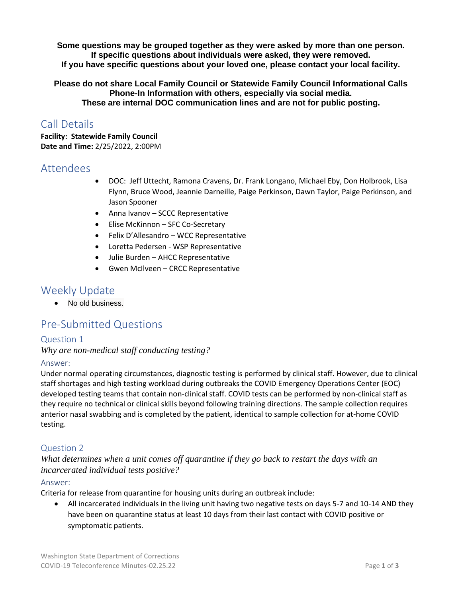**Some questions may be grouped together as they were asked by more than one person. If specific questions about individuals were asked, they were removed. If you have specific questions about your loved one, please contact your local facility.** 

**Please do not share Local Family Council or Statewide Family Council Informational Calls Phone-In Information with others, especially via social media. These are internal DOC communication lines and are not for public posting.**

# Call Details

**Facility: Statewide Family Council Date and Time:** 2/25/2022, 2:00PM

## Attendees

- DOC: Jeff Uttecht, Ramona Cravens, Dr. Frank Longano, Michael Eby, Don Holbrook, Lisa Flynn, Bruce Wood, Jeannie Darneille, Paige Perkinson, Dawn Taylor, Paige Perkinson, and Jason Spooner
- Anna Ivanov SCCC Representative
- Elise McKinnon SFC Co-Secretary
- Felix D'Allesandro WCC Representative
- Loretta Pedersen WSP Representative
- Julie Burden AHCC Representative
- Gwen McIlveen CRCC Representative

## Weekly Update

• No old business.

# Pre-Submitted Questions

## Question 1

*Why are non-medical staff conducting testing?* 

## Answer:

Under normal operating circumstances, diagnostic testing is performed by clinical staff. However, due to clinical staff shortages and high testing workload during outbreaks the COVID Emergency Operations Center (EOC) developed testing teams that contain non-clinical staff. COVID tests can be performed by non-clinical staff as they require no technical or clinical skills beyond following training directions. The sample collection requires anterior nasal swabbing and is completed by the patient, identical to sample collection for at-home COVID testing.

## Question 2

*What determines when a unit comes off quarantine if they go back to restart the days with an incarcerated individual tests positive?* 

## Answer:

Criteria for release from quarantine for housing units during an outbreak include:

• All incarcerated individuals in the living unit having two negative tests on days 5-7 and 10-14 AND they have been on quarantine status at least 10 days from their last contact with COVID positive or symptomatic patients.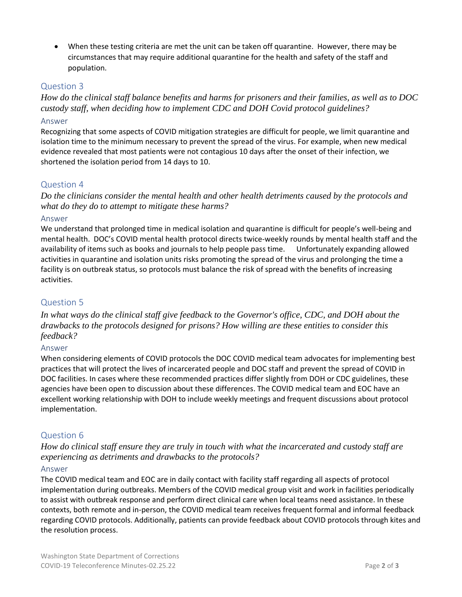• When these testing criteria are met the unit can be taken off quarantine. However, there may be circumstances that may require additional quarantine for the health and safety of the staff and population.

## Question 3

*How do the clinical staff balance benefits and harms for prisoners and their families, as well as to DOC custody staff, when deciding how to implement CDC and DOH Covid protocol guidelines?* 

### Answer

Recognizing that some aspects of COVID mitigation strategies are difficult for people, we limit quarantine and isolation time to the minimum necessary to prevent the spread of the virus. For example, when new medical evidence revealed that most patients were not contagious 10 days after the onset of their infection, we shortened the isolation period from 14 days to 10.

## Question 4

*Do the clinicians consider the mental health and other health detriments caused by the protocols and what do they do to attempt to mitigate these harms?*

### Answer

We understand that prolonged time in medical isolation and quarantine is difficult for people's well-being and mental health. DOC's COVID mental health protocol directs twice-weekly rounds by mental health staff and the availability of items such as books and journals to help people pass time. Unfortunately expanding allowed activities in quarantine and isolation units risks promoting the spread of the virus and prolonging the time a facility is on outbreak status, so protocols must balance the risk of spread with the benefits of increasing activities.

## Question 5

*In what ways do the clinical staff give feedback to the Governor's office, CDC, and DOH about the drawbacks to the protocols designed for prisons? How willing are these entities to consider this feedback?*

#### Answer

When considering elements of COVID protocols the DOC COVID medical team advocates for implementing best practices that will protect the lives of incarcerated people and DOC staff and prevent the spread of COVID in DOC facilities. In cases where these recommended practices differ slightly from DOH or CDC guidelines, these agencies have been open to discussion about these differences. The COVID medical team and EOC have an excellent working relationship with DOH to include weekly meetings and frequent discussions about protocol implementation.

## Question 6

*How do clinical staff ensure they are truly in touch with what the incarcerated and custody staff are experiencing as detriments and drawbacks to the protocols?* 

#### Answer

The COVID medical team and EOC are in daily contact with facility staff regarding all aspects of protocol implementation during outbreaks. Members of the COVID medical group visit and work in facilities periodically to assist with outbreak response and perform direct clinical care when local teams need assistance. In these contexts, both remote and in-person, the COVID medical team receives frequent formal and informal feedback regarding COVID protocols. Additionally, patients can provide feedback about COVID protocols through kites and the resolution process.